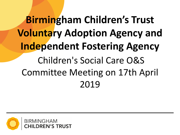# **Birmingham Children's Trust Voluntary Adoption Agency and Independent Fostering Agency** Children's Social Care O&S Committee Meeting on 17th April 2019

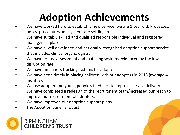## **Adoption Achievements**

- We have worked hard to establish a new service; we are 1 year old. Processes, policy, procedures and systems are settling in.
- We have suitably skilled and qualified responsible individual and registered managers in place.
- We have a well developed and nationally recognised adoption support service that includes clinical psychologists.
- We have robust assessment and matching systems evidenced by the low disruption rate.
- We have timeliness tracking systems for adopters.
- We have been timely in placing children with our adopters in 2018 (average 4 months).
- We use adopter and young people's feedback to improve service delivery.
- We have completed a redesign of the recruitment team/increased our reach to improve our recruitment of adopters.
- We have improved our adoption support plans.
- The Adoption panel is robust.

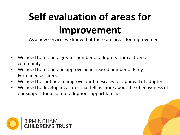# **Self evaluation of areas for improvement**

As a new service, we know that there are areas for improvement:

- We need to recruit a greater number of adopters from a diverse community.
- We need to recruit and approve an increased number of Early Permanence carers.
- We need to continue to improve our timescales for approval of adopters.
- We need to develop measures that tell us more about the effectiveness of our support for all of our adoption support families.

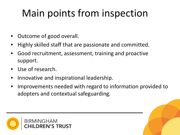### Main points from inspection

- Outcome of good overall.
- Highly skilled staff that are passionate and committed.
- Good recruitment, assessment, training and proactive support.
- Use of research.
- Innovative and inspirational leadership.
- Improvements needed with regard to information provided to adopters and contextual safeguarding.

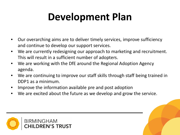### **Development Plan**

- Our overarching aims are to deliver timely services, improve sufficiency and continue to develop our support services.
- We are currently redesigning our approach to marketing and recruitment. This will result in a sufficient number of adopters.
- We are working with the DfE around the Regional Adoption Agency agenda.
- We are continuing to improve our staff skills through staff being trained in DDP1 as a minimum.
- Improve the information available pre and post adoption
- We are excited about the future as we develop and grow the service.

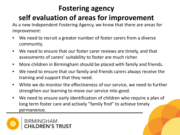#### **Fostering agency self evaluation of areas for improvement**

As a new Independent Fostering Agency, we know that there are areas for improvement:

- We need to recruit a greater number of foster carers from a diverse community.
- We need to ensure that our foster carer reviews are timely, and that assessments of carers' suitability to foster are much richer.
- More children in Birmingham should be placed with family and friends.
- We need to ensure that our family and friends carers always receive the training and support that they need.
- While we do monitor the effectiveness of our service, we need to further strengthen our learning to move our service into good.
- We need to ensure early identification of children who require a plan of long term foster care and actively "family find" to achieve timely permanence.

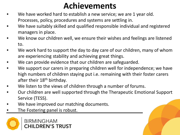#### **Achievements**

- We have worked hard to establish a new service; we are 1 year old. Processes, policy, procedures and systems are settling in.
- We have suitably skilled and qualified responsible individual and registered managers in place.
- We know our children well, we ensure their wishes and feelings are listened to.
- We work hard to support the day to day care of our children, many of whom are experiencing stability and achieving great things.
- We can provide evidence that our children are safeguarded.
- We support our carers in preparing children well for independence; we have high numbers of children staying put i.e. remaining with their foster carers after their 18<sup>th</sup> birthday.
- We listen to the views of children through a number of forums.
- Our children are well supported through the Therapeutic Emotional Support Service (TESS).
- We have improved our matching documents.
- The Fostering panel is robust.

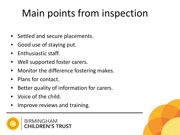### Main points from inspection

- Settled and secure placements.
- Good use of staying put.
- Enthusiastic staff.
- Well supported foster carers.
- Monitor the difference fostering makes.
- Plans for contact.
- Better quality of information for carers.
- Voice of the child.
- Improve reviews and training.